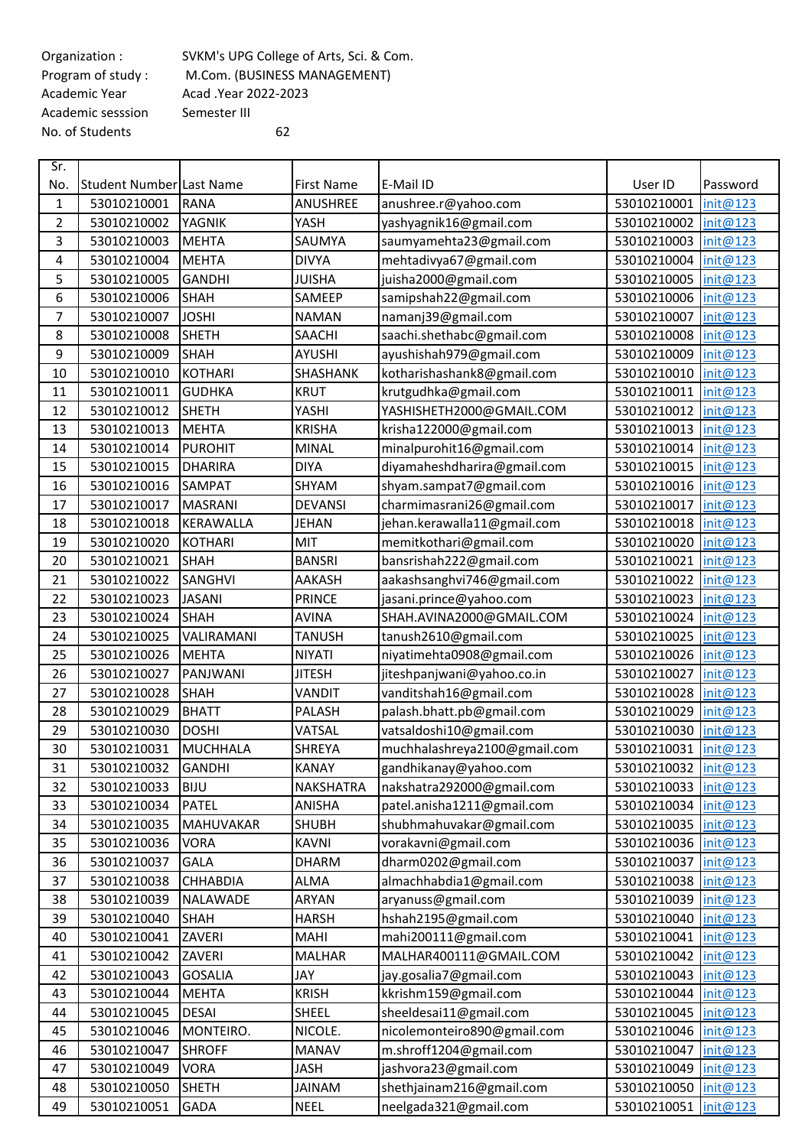Academic sesssion Semester III No. of Students 62

Organization : SVKM's UPG College of Arts, Sci. & Com.<br>Program of study : M.Com. (BUSINESS MANAGEMENT) M.Com. (BUSINESS MANAGEMENT) Academic Year Acad .Year 2022-2023

| Sr.            |                          |                  |                   |                              |                      |          |
|----------------|--------------------------|------------------|-------------------|------------------------------|----------------------|----------|
| No.            | Student Number Last Name |                  | <b>First Name</b> | E-Mail ID                    | User ID              | Password |
| 1              | 53010210001              | <b>RANA</b>      | <b>ANUSHREE</b>   | anushree.r@yahoo.com         | 53010210001          | init@123 |
| $\overline{2}$ | 53010210002              | YAGNIK           | YASH              | yashyagnik16@gmail.com       | 53010210002          | init@123 |
| 3              | 53010210003              | <b>MEHTA</b>     | SAUMYA            | saumyamehta23@gmail.com      | 53010210003          | init@123 |
| 4              | 53010210004              | <b>MEHTA</b>     | <b>DIVYA</b>      | mehtadivya67@gmail.com       | 53010210004          | init@123 |
| 5              | 53010210005              | <b>GANDHI</b>    | <b>JUISHA</b>     | juisha2000@gmail.com         | 53010210005          | init@123 |
| 6              | 53010210006              | <b>SHAH</b>      | SAMEEP            | samipshah22@gmail.com        | 53010210006          | init@123 |
| 7              | 53010210007              | <b>JOSHI</b>     | <b>NAMAN</b>      | namanj39@gmail.com           | 53010210007          | init@123 |
| 8              | 53010210008              | <b>SHETH</b>     | SAACHI            | saachi.shethabc@gmail.com    | 53010210008          | init@123 |
| 9              | 53010210009              | <b>SHAH</b>      | <b>AYUSHI</b>     | ayushishah979@gmail.com      | 53010210009          | init@123 |
| 10             | 53010210010              | <b>KOTHARI</b>   | SHASHANK          | kotharishashank8@gmail.com   | 53010210010          | init@123 |
| 11             | 53010210011              | <b>GUDHKA</b>    | <b>KRUT</b>       | krutgudhka@gmail.com         | 53010210011          | init@123 |
| 12             | 53010210012              | SHETH            | YASHI             | YASHISHETH2000@GMAIL.COM     | 53010210012          | init@123 |
| 13             | 53010210013              | <b>MEHTA</b>     | <b>KRISHA</b>     | krisha122000@gmail.com       | 53010210013          | init@123 |
| 14             | 53010210014              | <b>PUROHIT</b>   | <b>MINAL</b>      | minalpurohit16@gmail.com     | 53010210014          | init@123 |
| 15             | 53010210015              | <b>DHARIRA</b>   | <b>DIYA</b>       | diyamaheshdharira@gmail.com  | 53010210015          | init@123 |
| 16             | 53010210016              | <b>SAMPAT</b>    | SHYAM             | shyam.sampat7@gmail.com      | 53010210016          | init@123 |
| 17             | 53010210017              | <b>MASRANI</b>   | <b>DEVANSI</b>    | charmimasrani26@gmail.com    | 53010210017          | init@123 |
| 18             | 53010210018              | <b>KERAWALLA</b> | JEHAN             | jehan.kerawalla11@gmail.com  | 53010210018          | init@123 |
| 19             | 53010210020              | <b>KOTHARI</b>   | MIT               | memitkothari@gmail.com       | 53010210020          | init@123 |
| 20             | 53010210021              | <b>SHAH</b>      | <b>BANSRI</b>     | bansrishah222@gmail.com      | 53010210021          | init@123 |
| 21             | 53010210022              | <b>SANGHVI</b>   | AAKASH            | aakashsanghvi746@gmail.com   | 53010210022          | init@123 |
| 22             | 53010210023              | <b>JASANI</b>    | <b>PRINCE</b>     | jasani.prince@yahoo.com      | 53010210023          | init@123 |
| 23             | 53010210024              | <b>SHAH</b>      | <b>AVINA</b>      | SHAH.AVINA2000@GMAIL.COM     | 53010210024          | init@123 |
| 24             | 53010210025              | VALIRAMANI       | <b>TANUSH</b>     | tanush2610@gmail.com         | 53010210025          | init@123 |
| 25             | 53010210026              | <b>MEHTA</b>     | <b>NIYATI</b>     | niyatimehta0908@gmail.com    | 53010210026          | init@123 |
| 26             | 53010210027              | PANJWANI         | <b>JITESH</b>     | jiteshpanjwani@yahoo.co.in   | 53010210027          | init@123 |
| 27             | 53010210028              | <b>SHAH</b>      | VANDIT            | vanditshah16@gmail.com       | 53010210028          | init@123 |
| 28             | 53010210029              | <b>BHATT</b>     | PALASH            | palash.bhatt.pb@gmail.com    | 53010210029          | init@123 |
| 29             | 53010210030              | <b>DOSHI</b>     | VATSAL            | vatsaldoshi10@gmail.com      | 53010210030          | init@123 |
| 30             | 53010210031              | <b>MUCHHALA</b>  | <b>SHREYA</b>     | muchhalashreya2100@gmail.com | 53010210031          | init@123 |
| 31             | 53010210032              | <b>GANDHI</b>    | KANAY             | gandhikanay@yahoo.com        | 53010210032 init@123 |          |
| 32             | 53010210033              | <b>BIJU</b>      | <b>NAKSHATRA</b>  | nakshatra292000@gmail.com    | 53010210033          | init@123 |
| 33             | 53010210034              | <b>PATEL</b>     | <b>ANISHA</b>     | patel.anisha1211@gmail.com   | 53010210034          | init@123 |
| 34             | 53010210035              | <b>MAHUVAKAR</b> | SHUBH             | shubhmahuvakar@gmail.com     | 53010210035          | init@123 |
| 35             | 53010210036              | <b>VORA</b>      | KAVNI             | vorakavni@gmail.com          | 53010210036          | init@123 |
| 36             | 53010210037              | <b>GALA</b>      | <b>DHARM</b>      | dharm0202@gmail.com          | 53010210037          | init@123 |
| 37             | 53010210038              | <b>CHHABDIA</b>  | <b>ALMA</b>       | almachhabdia1@gmail.com      | 53010210038          | init@123 |
| 38             | 53010210039              | NALAWADE         | ARYAN             | aryanuss@gmail.com           | 53010210039          | init@123 |
| 39             | 53010210040              | <b>SHAH</b>      | <b>HARSH</b>      | hshah2195@gmail.com          | 53010210040          | init@123 |
| 40             | 53010210041              | ZAVERI           | MAHI              | mahi200111@gmail.com         | 53010210041          | init@123 |
| 41             | 53010210042              | ZAVERI           | <b>MALHAR</b>     | MALHAR400111@GMAIL.COM       | 53010210042          | init@123 |
| 42             | 53010210043              | <b>GOSALIA</b>   | JAY               | jay.gosalia7@gmail.com       | 53010210043          | init@123 |
| 43             | 53010210044              | <b>MEHTA</b>     | <b>KRISH</b>      | kkrishm159@gmail.com         | 53010210044          | init@123 |
| 44             | 53010210045              | <b>DESAI</b>     | SHEEL             | sheeldesai11@gmail.com       | 53010210045          | init@123 |
| 45             | 53010210046              | MONTEIRO.        | NICOLE.           | nicolemonteiro890@gmail.com  | 53010210046          | init@123 |
| 46             | 53010210047              | <b>SHROFF</b>    | <b>MANAV</b>      | m.shroff1204@gmail.com       | 53010210047          | init@123 |
| 47             | 53010210049              | <b>VORA</b>      | <b>JASH</b>       | jashvora23@gmail.com         | 53010210049          | init@123 |
| 48             | 53010210050              | <b>SHETH</b>     | MAINA             | shethjainam216@gmail.com     | 53010210050          | init@123 |
| 49             | 53010210051              | <b>GADA</b>      | <b>NEEL</b>       | neelgada321@gmail.com        | 53010210051          | init@123 |
|                |                          |                  |                   |                              |                      |          |